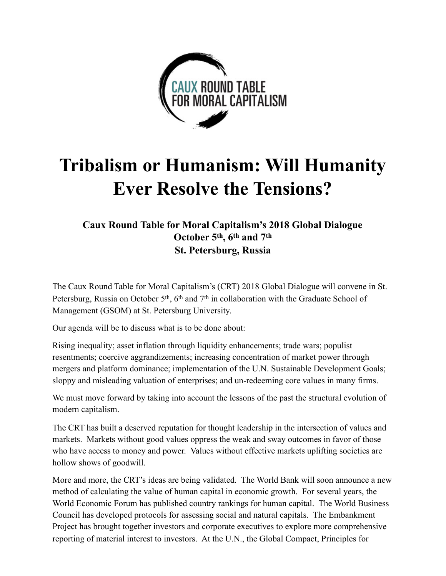

# **Tribalism or Humanism: Will Humanity Ever Resolve the Tensions?**

# **Caux Round Table for Moral Capitalism's 2018 Global Dialogue October 5th, 6th and 7th St. Petersburg, Russia**

The Caux Round Table for Moral Capitalism's (CRT) 2018 Global Dialogue will convene in St. Petersburg, Russia on October  $5<sup>th</sup>$ ,  $6<sup>th</sup>$  and  $7<sup>th</sup>$  in collaboration with the Graduate School of Management (GSOM) at St. Petersburg University.

Our agenda will be to discuss what is to be done about:

Rising inequality; asset inflation through liquidity enhancements; trade wars; populist resentments; coercive aggrandizements; increasing concentration of market power through mergers and platform dominance; implementation of the U.N. Sustainable Development Goals; sloppy and misleading valuation of enterprises; and un-redeeming core values in many firms.

We must move forward by taking into account the lessons of the past the structural evolution of modern capitalism.

The CRT has built a deserved reputation for thought leadership in the intersection of values and markets. Markets without good values oppress the weak and sway outcomes in favor of those who have access to money and power. Values without effective markets uplifting societies are hollow shows of goodwill.

More and more, the CRT's ideas are being validated. The World Bank will soon announce a new method of calculating the value of human capital in economic growth. For several years, the World Economic Forum has published country rankings for human capital. The World Business Council has developed protocols for assessing social and natural capitals. The Embankment Project has brought together investors and corporate executives to explore more comprehensive reporting of material interest to investors. At the U.N., the Global Compact, Principles for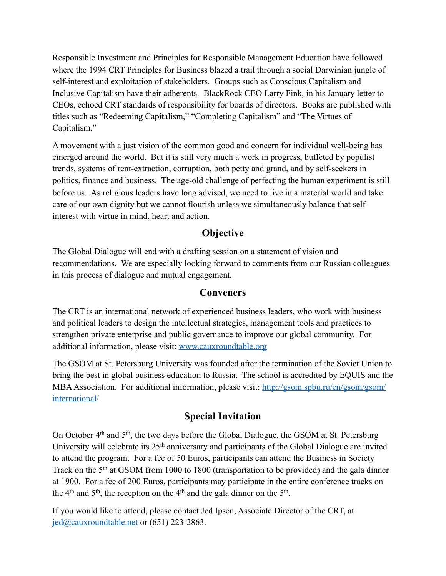Responsible Investment and Principles for Responsible Management Education have followed where the 1994 CRT Principles for Business blazed a trail through a social Darwinian jungle of self-interest and exploitation of stakeholders. Groups such as Conscious Capitalism and Inclusive Capitalism have their adherents. BlackRock CEO Larry Fink, in his January letter to CEOs, echoed CRT standards of responsibility for boards of directors. Books are published with titles such as "Redeeming Capitalism," "Completing Capitalism" and "The Virtues of Capitalism."

A movement with a just vision of the common good and concern for individual well-being has emerged around the world. But it is still very much a work in progress, buffeted by populist trends, systems of rent-extraction, corruption, both petty and grand, and by self-seekers in politics, finance and business. The age-old challenge of perfecting the human experiment is still before us. As religious leaders have long advised, we need to live in a material world and take care of our own dignity but we cannot flourish unless we simultaneously balance that selfinterest with virtue in mind, heart and action.

## **Objective**

The Global Dialogue will end with a drafting session on a statement of vision and recommendations. We are especially looking forward to comments from our Russian colleagues in this process of dialogue and mutual engagement.

## **Conveners**

The CRT is an international network of experienced business leaders, who work with business and political leaders to design the intellectual strategies, management tools and practices to strengthen private enterprise and public governance to improve our global community. For additional information, please visit: [www.cauxroundtable.org](http://www.cauxroundtable.org)

The GSOM at St. Petersburg University was founded after the termination of the Soviet Union to bring the best in global business education to Russia. The school is accredited by EQUIS and the MBA Association. For additional information, please visit: [http://gsom.spbu.ru/en/gsom/gsom/](http://gsom.spbu.ru/en/gsom/gsom/international/) [international/](http://gsom.spbu.ru/en/gsom/gsom/international/)

## **Special Invitation**

On October 4th and 5th, the two days before the Global Dialogue, the GSOM at St. Petersburg University will celebrate its 25<sup>th</sup> anniversary and participants of the Global Dialogue are invited to attend the program. For a fee of 50 Euros, participants can attend the Business in Society Track on the 5<sup>th</sup> at GSOM from 1000 to 1800 (transportation to be provided) and the gala dinner at 1900. For a fee of 200 Euros, participants may participate in the entire conference tracks on the 4<sup>th</sup> and  $5<sup>th</sup>$ , the reception on the 4<sup>th</sup> and the gala dinner on the  $5<sup>th</sup>$ .

If you would like to attend, please contact Jed Ipsen, Associate Director of the CRT, at [jed@cauxroundtable.net](mailto:jed@cauxroundtable.net) or (651) 223-2863.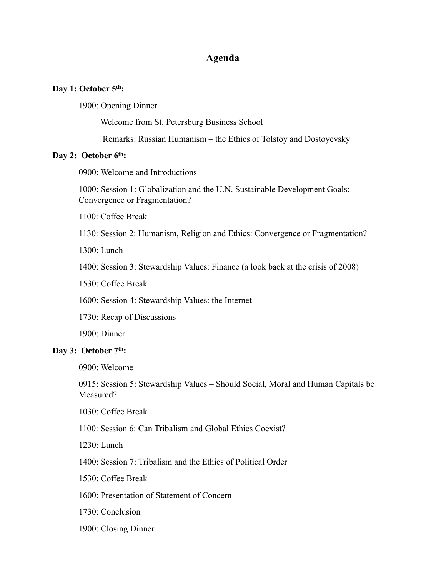#### **Agenda**

#### Day 1: October 5<sup>th</sup>:

1900: Opening Dinner

Welcome from St. Petersburg Business School

Remarks: Russian Humanism – the Ethics of Tolstoy and Dostoyevsky

#### **Day 2: October 6th:**

0900: Welcome and Introductions

1000: Session 1: Globalization and the U.N. Sustainable Development Goals: Convergence or Fragmentation?

1100: Coffee Break

1130: Session 2: Humanism, Religion and Ethics: Convergence or Fragmentation?

 $1300 \cdot$  Lunch

1400: Session 3: Stewardship Values: Finance (a look back at the crisis of 2008)

1530: Coffee Break

1600: Session 4: Stewardship Values: the Internet

1730: Recap of Discussions

1900: Dinner

#### **Day 3: October 7th:**

0900: Welcome

0915: Session 5: Stewardship Values – Should Social, Moral and Human Capitals be Measured?

1030: Coffee Break

1100: Session 6: Can Tribalism and Global Ethics Coexist?

1230: Lunch

1400: Session 7: Tribalism and the Ethics of Political Order

1530: Coffee Break

1600: Presentation of Statement of Concern

1730: Conclusion

1900: Closing Dinner